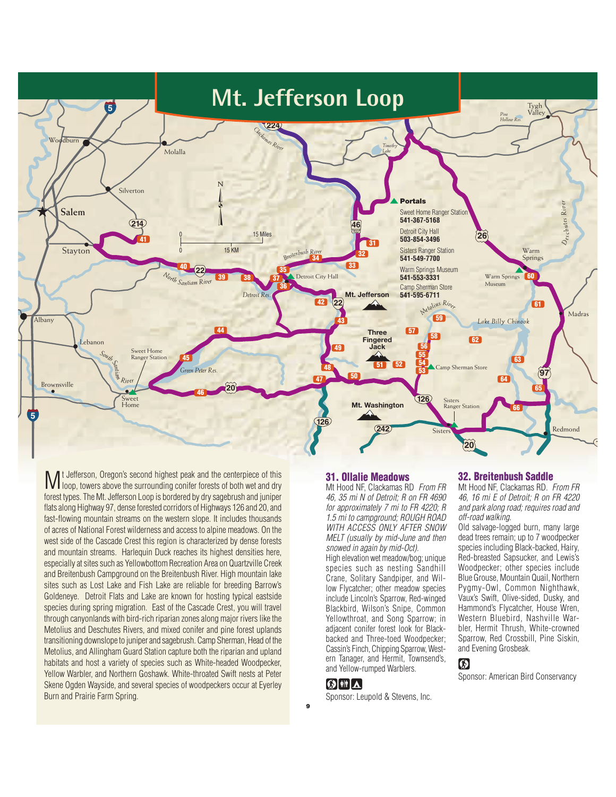

M t Jefferson, Oregon's second highest peak and the centerpiece of this loop, towers above the surrounding conifer forests of both wet and dry t Jefferson, Oregon's second highest peak and the centerpiece of this forest types. The Mt. Jefferson Loop is bordered by dry sagebrush and juniper flats along Highway 97, dense forested corridors of Highways 126 and 20, and fast-flowing mountain streams on the western slope. It includes thousands of acres of National Forest wilderness and access to alpine meadows. On the west side of the Cascade Crest this region is characterized by dense forests and mountain streams. Harlequin Duck reaches its highest densities here, especially at sites such as Yellowbottom Recreation Area on Quartzville Creek and Breitenbush Campground on the Breitenbush River. High mountain lake sites such as Lost Lake and Fish Lake are reliable for breeding Barrow's Goldeneye. Detroit Flats and Lake are known for hosting typical eastside species during spring migration. East of the Cascade Crest, you will travel through canyonlands with bird-rich riparian zones along major rivers like the Metolius and Deschutes Rivers, and mixed conifer and pine forest uplands transitioning downslope to juniper and sagebrush. Camp Sherman, Head of the Metolius, and Allingham Guard Station capture both the riparian and upland habitats and host a variety of species such as White-headed Woodpecker, Yellow Warbler, and Northern Goshawk. White-throated Swift nests at Peter Skene Ogden Wayside, and several species of woodpeckers occur at Eyerley Burn and Prairie Farm Spring.

### 31. Ollalie Meadows

Mt Hood NF, Clackamas RD From FR 46, 35 mi N of Detroit; R on FR 4690 for approximately 7 mi to FR 4220; R 1.5 mi to campground; ROUGH ROAD WITH ACCESS ONLY AFTER SNOW MELT (usually by mid-June and then snowed in again by mid-Oct).

High elevation wet meadow/bog; unique species such as nesting Sandhill Crane, Solitary Sandpiper, and Willow Flycatcher; other meadow species include Lincoln's Sparrow, Red-winged Blackbird, Wilson's Snipe, Common Yellowthroat, and Song Sparrow; in adjacent conifer forest look for Blackbacked and Three-toed Woodpecker; Cassin's Finch, Chipping Sparrow, Western Tanager, and Hermit, Townsend's, and Yellow-rumped Warblers.

## GIHA

9

Sponsor: Leupold & Stevens, Inc.

## 32. Breitenbush Saddle

Mt Hood NF, Clackamas RD. From FR 46, 16 mi E of Detroit; R on FR 4220 and park along road; requires road and off-road walking.

Old salvage-logged burn, many large dead trees remain; up to 7 woodpecker species including Black-backed, Hairy, Red-breasted Sapsucker, and Lewis's Woodpecker; other species include Blue Grouse, Mountain Quail, Northern Pygmy-Owl, Common Nighthawk, Vaux's Swift, Olive-sided, Dusky, and Hammond's Flycatcher, House Wren, Western Bluebird, Nashville Warbler, Hermit Thrush, White-crowned Sparrow, Red Crossbill, Pine Siskin, and Evening Grosbeak.

# $\circledR$

Sponsor: American Bird Conservancy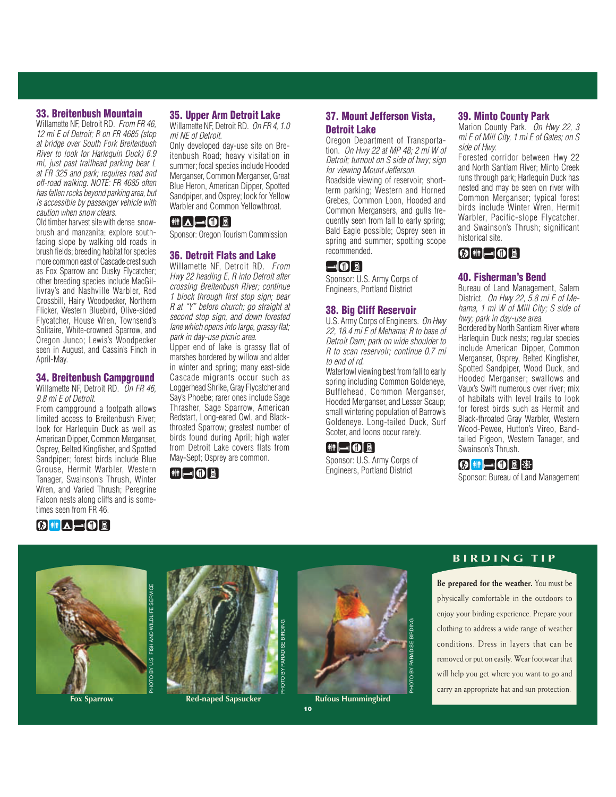#### 33. Breitenbush Mountain

Willamette NF, Detroit RD. From FR 46. 12 mi E of Detroit; R on FR 4685 (stop at bridge over South Fork Breitenbush River to look for Harlequin Duck) 6.9 mi, just past trailhead parking bear L at FR 325 and park; requires road and off-road walking. NOTE: FR 4685 often has fallen rocks beyond parking area, but is accessible by passenger vehicle with caution when snow clears.

Old timber harvest site with dense snowbrush and manzanita; explore southfacing slope by walking old roads in brush fields; breeding habitat for species more common east of Cascade crest such as Fox Sparrow and Dusky Flycatcher; other breeding species include MacGillivray's and Nashville Warbler, Red Crossbill, Hairy Woodpecker, Northern Flicker, Western Bluebird, Olive-sided Flycatcher, House Wren, Townsend's Solitaire, White-crowned Sparrow, and Oregon Junco; Lewis's Woodpecker seen in August, and Cassin's Finch in April-May.

#### 34. Breitenbush Campground

Willamette NF, Detroit RD. On FR 46, 9.8 mi E of Detroit.

From campground a footpath allows limited access to Breitenbush River; look for Harlequin Duck as well as American Dipper, Common Merganser, Osprey, Belted Kingfisher, and Spotted Sandpiper; forest birds include Blue Grouse, Hermit Warbler, Western Tanager, Swainson's Thrush, Winter Wren, and Varied Thrush; Peregrine Falcon nests along cliffs and is sometimes seen from FR 46.

#### 35. Upper Arm Detroit Lake

Willamette NF, Detroit RD. On FR 4, 1.0 mi NE of Detroit.

Only developed day-use site on Breitenbush Road; heavy visitation in summer; focal species include Hooded Merganser, Common Merganser, Great Blue Heron, American Dipper, Spotted Sandpiper, and Osprey; look for Yellow Warbler and Common Yellowthroat.

## $\begin{picture}(45,10) \put(0,0){\line(1,0){10}} \put(15,0){\line(1,0){10}} \put(15,0){\line(1,0){10}} \put(15,0){\line(1,0){10}} \put(15,0){\line(1,0){10}} \put(15,0){\line(1,0){10}} \put(15,0){\line(1,0){10}} \put(15,0){\line(1,0){10}} \put(15,0){\line(1,0){10}} \put(15,0){\line(1,0){10}} \put(15,0){\line(1,0){10}} \put(15,0){\line(1$

Sponsor: Oregon Tourism Commission

#### 36. Detroit Flats and Lake

Willamette NF, Detroit RD. From Hwy 22 heading E, R into Detroit after crossing Breitenbush River; continue 1 block through first stop sign; bear R at "Y" before church; go straight at second stop sign, and down forested lane which opens into large, grassy flat; park in day-use picnic area.

Upper end of lake is grassy flat of marshes bordered by willow and alder in winter and spring; many east-side Cascade migrants occur such as Loggerhead Shrike, Gray Flycatcher and Say's Phoebe; rarer ones include Sage Thrasher, Sage Sparrow, American Redstart, Long-eared Owl, and Blackthroated Sparrow; greatest number of birds found during April; high water from Detroit Lake covers flats from May-Sept; Osprey are common.



## 37. Mount Jefferson Vista, Detroit Lake

Oregon Department of Transportation. On Hwy 22 at MP 48; 2 mi W of Detroit; turnout on S side of hwy; sign for viewing Mount Jefferson.

Roadside viewing of reservoir; shortterm parking; Western and Horned Grebes, Common Loon, Hooded and Common Mergansers, and gulls frequently seen from fall to early spring; Bald Eagle possible; Osprey seen in spring and summer; spotting scope recommended.

## $\neg$ 00

Sponsor: U.S. Army Corps of Engineers, Portland District

#### 38. Big Cliff Reservoir

U.S. Army Corps of Engineers. On Hwy 22, 18.4 mi E of Mehama; R to base of Detroit Dam; park on wide shoulder to R to scan reservoir; continue 0.7 mi to end of rd.

Waterfowl viewing best from fall to early spring including Common Goldeneye, Bufflehead, Common Merganser, Hooded Merganser, and Lesser Scaup; small wintering population of Barrow's Goldeneye. Long-tailed Duck, Surf Scoter, and loons occur rarely.

## $\left[\begin{matrix} 1 & 0 \\ 0 & 1 \end{matrix}\right]$

Sponsor: U.S. Army Corps of Engineers, Portland District

#### 39. Minto County Park

Marion County Park. On Hwy 22, 3 mi E of Mill City, 1 mi E of Gates; on S side of Hwy.

Forested corridor between Hwy 22 and North Santiam River; Minto Creek runs through park; Harlequin Duck has nested and may be seen on river with Common Merganser; typical forest birds include Winter Wren, Hermit Warbler, Pacific-slope Flycatcher, and Swainson's Thrush; significant historical site.

# $\textcircled{\scriptsize{}}$  in  $\textcircled{\scriptsize{}}$  0  $\textcircled{\scriptsize{}}$

#### 40. Fisherman's Bend

Bureau of Land Management, Salem District. On Hwy 22, 5.8 mi E of Mehama, 1 mi W of Mill City; S side of hwy; park in day-use area. Bordered by North Santiam River where Harlequin Duck nests; regular species include American Dipper, Common Merganser, Osprey, Belted Kingfisher, Spotted Sandpiper, Wood Duck, and Hooded Merganser; swallows and Vaux's Swift numerous over river; mix of habitats with level trails to look for forest birds such as Hermit and Black-throated Gray Warbler, Western Wood-Pewee, Hutton's Vireo, Bandtailed Pigeon, Western Tanager, and Swainson's Thrush.

## **④ ii - 0 8** \$

Sponsor: Bureau of Land Management









10 10 **Fox Sparrow Red-naped Sapsucker Rufous Hummingbird**

# **B I R D I N G T I P**

**Be prepared for the weather.** You must be physically comfortable in the outdoors to enjoy your birding experience. Prepare your clothing to address a wide range of weather conditions. Dress in layers that can be removed or put on easily. Wear footwear that will help you get where you want to go and carry an appropriate hat and sun protection.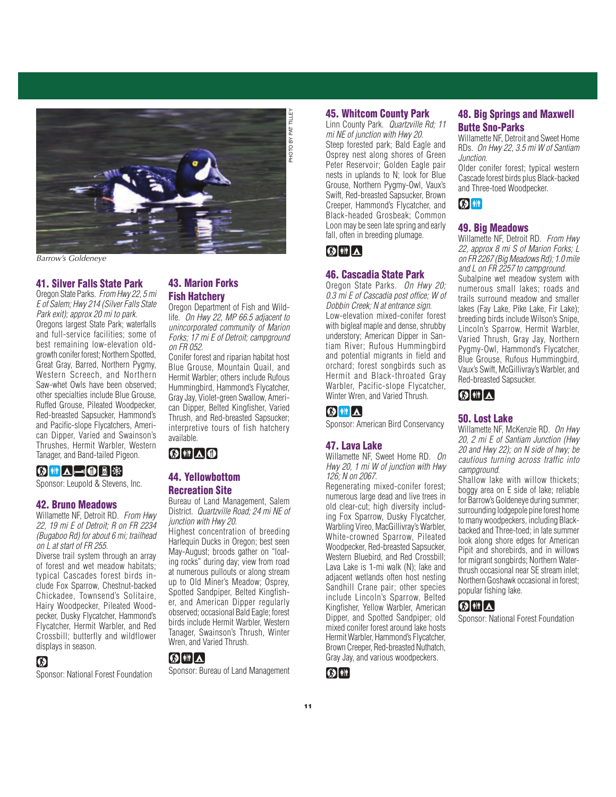

Barrow's Goldeneye

#### 41. Silver Falls State Park

Oregon State Parks. From Hwy 22, 5 mi E of Salem; Hwy 214 (Silver Falls State Park exit); approx 20 mi to park. Oregons largest State Park; waterfalls and full-service facilities; some of best remaining low-elevation oldgrowth conifer forest; Northern Spotted, Great Gray, Barred, Northern Pygmy, Western Screech, and Northern Saw-whet Owls have been observed; other specialties include Blue Grouse, Ruffed Grouse, Pileated Woodpecker, Red-breasted Sapsucker, Hammond's and Pacific-slope Flycatchers, American Dipper, Varied and Swainson's Thrushes, Hermit Warbler, Western Tanager, and Band-tailed Pigeon.

# **⊙HA-OB**

Sponsor: Leupold & Stevens, Inc.

#### 42. Bruno Meadows

Willamette NF, Detroit RD. From Hwy 22, 19 mi E of Detroit; R on FR 2234 (Bugaboo Rd) for about 6 mi; trailhead on L at start of FR 255.

Diverse trail system through an array of forest and wet meadow habitats; typical Cascades forest birds include Fox Sparrow, Chestnut-backed Chickadee, Townsend's Solitaire, Hairy Woodpecker, Pileated Woodpecker, Dusky Flycatcher, Hammond's Flycatcher, Hermit Warbler, and Red Crossbill; butterfly and wildflower displays in season.

# $\omega$

Sponsor: National Forest Foundation

# 43. Marion Forks Fish Hatchery

Oregon Department of Fish and Wildlife. On Hwy 22, MP 66.5 adjacent to unincorporated community of Marion Forks; 17 mi E of Detroit; campground on FR 052.

Conifer forest and riparian habitat host Blue Grouse, Mountain Quail, and Hermit Warbler; others include Rufous Hummingbird, Hammond's Flycatcher, Gray Jay, Violet-green Swallow, American Dipper, Belted Kingfisher, Varied Thrush, and Red-breasted Sapsucker; interpretive tours of fish hatchery available.

# $\boldsymbol{\Theta}$   $\boldsymbol{\mathbb{N}}$   $\boldsymbol{\Lambda}$   $\boldsymbol{\Theta}$

### 44. Yellowbottom Recreation Site

Bureau of Land Management, Salem District. Quartzville Road; 24 mi NE of junction with Hwy 20.

Highest concentration of breeding Harlequin Ducks in Oregon; best seen May-August; broods gather on "loafing rocks" during day; view from road at numerous pullouts or along stream up to Old Miner's Meadow; Osprey, Spotted Sandpiper, Belted Kingfisher, and American Dipper regularly observed; occasional Bald Eagle; forest birds include Hermit Warbler, Western Tanager, Swainson's Thrush, Winter Wren, and Varied Thrush.

# $\omega$  (  $\sim$

Sponsor: Bureau of Land Management

#### 45. Whitcom County Park

Linn County Park. Quartzville Rd; 11

mi NE of junction with Hwy 20. Steep forested park; Bald Eagle and Osprey nest along shores of Green Peter Reservoir; Golden Eagle pair nests in uplands to N; look for Blue Grouse, Northern Pygmy-Owl, Vaux's Swift, Red-breasted Sapsucker, Brown Creeper, Hammond's Flycatcher, and Black-headed Grosbeak; Common Loon may be seen late spring and early fall, often in breeding plumage.

# $\bigcirc$  ii  $\bigwedge$

#### 46. Cascadia State Park

Oregon State Parks. On Hwy 20; 0.3 mi E of Cascadia post office; W of Dobbin Creek; N at entrance sign. Low-elevation mixed-conifer forest with bigleaf maple and dense, shrubby understory; American Dipper in Santiam River; Rufous Hummingbird and potential migrants in field and orchard; forest songbirds such as Hermit and Black-throated Gray Warbler, Pacific-slope Flycatcher, Winter Wren, and Varied Thrush.

## $\omega$  in  $\Delta$

Sponsor: American Bird Conservancy

#### 47. Lava Lake

Willamette NF, Sweet Home RD. On Hwy 20, 1 mi W of junction with Hwy 126; N on 2067.

Regenerating mixed-conifer forest; numerous large dead and live trees in old clear-cut; high diversity including Fox Sparrow, Dusky Flycatcher, Warbling Vireo, MacGillivray's Warbler, White-crowned Sparrow, Pileated Woodpecker, Red-breasted Sapsucker, Western Bluebird, and Red Crossbill; Lava Lake is 1-mi walk (N); lake and adjacent wetlands often host nesting Sandhill Crane pair; other species include Lincoln's Sparrow, Belted Kingfisher, Yellow Warbler, American Dipper, and Spotted Sandpiper; old mixed conifer forest around lake hosts Hermit Warbler, Hammond's Flycatcher, Brown Creeper, Red-breasted Nuthatch, Gray Jay, and various woodpeckers.

# $\Omega$   $\mathbb{R}$

## 48. Big Springs and Maxwell Butte Sno-Parks

Willamette NF, Detroit and Sweet Home RDs. On Hwy 22, 3.5 mi W of Santiam Junction.

Older conifer forest; typical western Cascade forest birds plus Black-backed and Three-toed Woodpecker.

#### $\omega$  if

#### 49. Big Meadows

Willamette NF, Detroit RD. From Hwy 22, approx 8 mi S of Marion Forks; L on FR 2267 (Big Meadows Rd); 1.0 mile and L on FR 2257 to campground.

Subalpine wet meadow system with numerous small lakes; roads and trails surround meadow and smaller lakes (Fay Lake, Pike Lake, Fir Lake); breeding birds include Wilson's Snipe, Lincoln's Sparrow, Hermit Warbler, Varied Thrush, Gray Jay, Northern Pygmy-Owl, Hammond's Flycatcher, Blue Grouse, Rufous Hummingbird, Vaux's Swift, McGillivray's Warbler, and Red-breasted Sapsucker.

# $\Omega$ ii $\Lambda$

#### 50. Lost Lake

Willamette NF, McKenzie RD. On Hwy 20, 2 mi E of Santiam Junction (Hwy 20 and Hwy 22); on N side of hwy; be cautious turning across traffic into campground.

Shallow lake with willow thickets; boggy area on E side of lake; reliable for Barrow's Goldeneye during summer; surrounding lodgepole pine forest home to many woodpeckers, including Blackbacked and Three-toed; in late summer look along shore edges for American Pipit and shorebirds, and in willows for migrant songbirds; Northern Waterthrush occasional near SE stream inlet; Northern Goshawk occasional in forest; popular fishing lake.

# $\left[\text{\O}|\text{\Huge{\#}}\right]\text{\Luge{\hspace{-2.8ex}{\rule{0.8ex}{1.8ex}}}}$

Sponsor: National Forest Foundation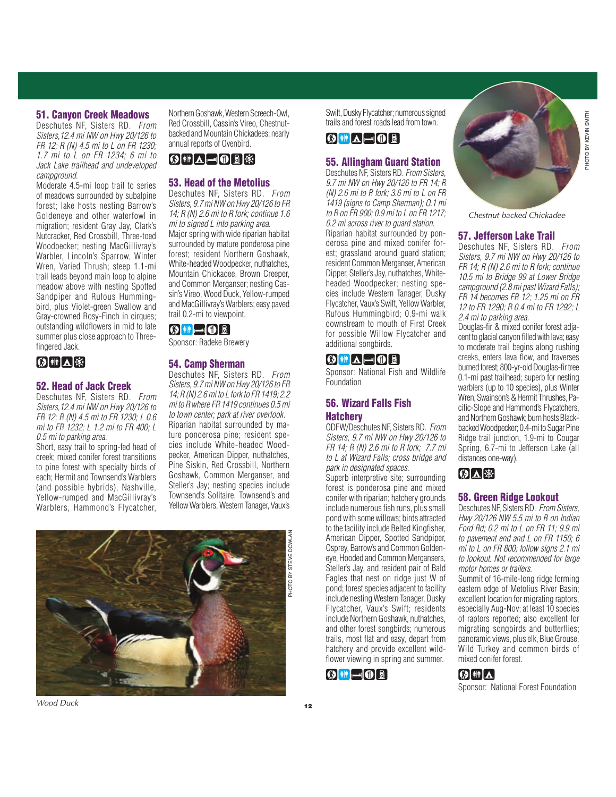#### 51. Canyon Creek Meadows

Deschutes NF, Sisters RD. From Sisters,12.4 mi NW on Hwy 20/126 to FR 12; R (N) 4.5 mi to L on FR 1230; 1.7 mi to L on FR 1234; 6 mi to Jack Lake trailhead and undeveloped campground.

Moderate 4.5-mi loop trail to series of meadows surrounded by subalpine forest; lake hosts nesting Barrow's Goldeneye and other waterfowl in migration; resident Gray Jay, Clark's Nutcracker, Red Crossbill, Three-toed Woodpecker; nesting MacGillivray's Warbler, Lincoln's Sparrow, Winter Wren, Varied Thrush; steep 1.1-mi trail leads beyond main loop to alpine meadow above with nesting Spotted Sandpiper and Rufous Hummingbird, plus Violet-green Swallow and Gray-crowned Rosy-Finch in cirques; outstanding wildflowers in mid to late summer plus close approach to Threefingered Jack.



#### 52. Head of Jack Creek

Deschutes NF, Sisters RD. From Sisters,12.4 mi NW on Hwy 20/126 to FR 12; R (N) 4.5 mi to FR 1230; L 0.6 mi to FR 1232; L 1.2 mi to FR 400; L 0.5 mi to parking area.

Short, easy trail to spring-fed head of creek; mixed conifer forest transitions to pine forest with specialty birds of each; Hermit and Townsend's Warblers (and possible hybrids), Nashville, Yellow-rumped and MacGillivray's Warblers, Hammond's Flycatcher,

Northern Goshawk, Western Screech-Owl, Red Crossbill, Cassin's Vireo, Chestnutbacked and Mountain Chickadees; nearly annual reports of Ovenbird.

# K)`H`|∆|—|O B |\$}

#### 53. Head of the Metolius

Deschutes NF, Sisters RD. From Sisters, 9.7 mi NW on Hwy 20/126 to FR 14; R (N) 2.6 mi to R fork; continue 1.6 mi to signed L into parking area. Major spring with wide riparian habitat surrounded by mature ponderosa pine forest; resident Northern Goshawk, White-headed Woodpecker, nuthatches, Mountain Chickadee, Brown Creeper, and Common Merganser; nesting Cassin's Vireo, Wood Duck, Yellow-rumped and MacGillivray's Warblers; easy paved trail 0.2-mi to viewpoint.

 $\circledR$  if  $\lnot \circledR$ 

Sponsor: Radeke Brewery

#### 54. Camp Sherman

Deschutes NF, Sisters RD. From Sisters, 9.7 mi NW on Hwy 20/126 to FR 14; R (N) 2.6 mi to L fork to FR 1419; 2.2 mi to R where FR 1419 continues 0.5 mi to town center; park at river overlook. Riparian habitat surrounded by mature ponderosa pine; resident species include White-headed Woodpecker, American Dipper, nuthatches, Pine Siskin, Red Crossbill, Northern Goshawk, Common Merganser, and Steller's Jay; nesting species include Townsend's Solitaire, Townsend's and Yellow Warblers, Western Tanager, Vaux's



PHOTO BY STEVE DOWLAN

Swift, Dusky Flycatcher; numerous signed trails and forest roads lead from town.

# $\textcircled{\scriptsize{N}}$  in  $\text{A} = \textcircled{\scriptsize{0}}$  b

#### 55. Allingham Guard Station

Deschutes NF, Sisters RD. From Sisters, 9.7 mi NW on Hwy 20/126 to FR 14; R (N) 2.6 mi to R fork; 3.6 mi to L on FR 1419 (signs to Camp Sherman); O.1 mi to R on FR 900; 0.9 mi to L on FR 1217; 0.2 mi across river to quard station. Riparian habitat surrounded by ponderosa pine and mixed conifer forest; grassland around guard station; resident Common Merganser, American Dipper, Steller's Jay, nuthatches, Whiteheaded Woodpecker; nesting species include Western Tanager, Dusky Flycatcher, Vaux's Swift, Yellow Warbler, Rufous Hummingbird; 0.9-mi walk downstream to mouth of First Creek for possible Willow Flycatcher and additional songbirds.

# $\textcircled{\scriptsize{N}}$  in  $\text{A} = \textcircled{\scriptsize{0}}$  b

Sponsor: National Fish and Wildlife Foundation

### 56. Wizard Falls Fish **Hatchery**

ODFW/Deschutes NF, Sisters RD. From Sisters, 9.7 mi NW on Hwy 20/126 to FR 14; R (N) 2.6 mi to R fork; 7.7 mi to L at Wizard Falls; cross bridge and park in designated spaces.

Superb interpretive site; surrounding forest is ponderosa pine and mixed conifer with riparian; hatchery grounds include numerous fish runs, plus small pond with some willows; birds attracted to the facility include Belted Kingfisher, American Dipper, Spotted Sandpiper, Osprey, Barrow's and Common Goldeneye, Hooded and Common Mergansers, Steller's Jay, and resident pair of Bald Eagles that nest on ridge just W of pond; forest species adjacent to facility include nesting Western Tanager, Dusky Flycatcher, Vaux's Swift; residents include Northern Goshawk, nuthatches, and other forest songbirds; numerous trails, most flat and easy, depart from hatchery and provide excellent wildflower viewing in spring and summer.



**HOTO BY KEVIN SMITH** PHOTO BY KEVIN SMITH

Chestnut-backed Chickadee

#### 57. Jefferson Lake Trail

Deschutes NF, Sisters RD. From Sisters, 9.7 mi NW on Hwy 20/126 to FR 14; R (N) 2.6 mi to R fork; continue 10.5 mi to Bridge 99 at Lower Bridge campground (2.8 mi past Wizard Falls); FR 14 becomes FR 12; 1.25 mi on FR 12 to FR 1290; R 0.4 mi to FR 1292; L 2.4 mi to parking area.

Douglas-fir & mixed conifer forest adjacent to glacial canyon filled with lava; easy to moderate trail begins along rushing creeks, enters lava flow, and traverses burned forest; 800-yr-old Douglas-fir tree 0.1-mi past trailhead; superb for nesting warblers (up to 10 species), plus Winter Wren, Swainson's & Hermit Thrushes, Pacific-Slope and Hammond's Flycatchers, and Northern Goshawk; burn hosts Blackbacked Woodpecker; 0.4-mi to Sugar Pine Ridge trail junction, 1.9-mi to Cougar Spring, 6.7-mi to Jefferson Lake (all distances one-way).

# (◎ △ ※

#### 58. Green Ridge Lookout

Deschutes NF, Sisters RD. From Sisters, Hwy 20/126 NW 5.5 mi to R on Indian Ford Rd; 0.2 mi to L on FR 11; 9.9 mi to pavement end and L on FR 1150; 6 mi to L on FR 800; follow signs 2.1 mi to lookout. Not recommended for large motor homes or trailers.

Summit of 16-mile-long ridge forming eastern edge of Metolius River Basin; excellent location for migrating raptors, especially Aug-Nov; at least 10 species of raptors reported; also excellent for migrating songbirds and butterflies; panoramic views, plus elk, Blue Grouse, Wild Turkey and common birds of mixed conifer forest.

# |۞│┆╽△

Sponsor: National Forest Foundation